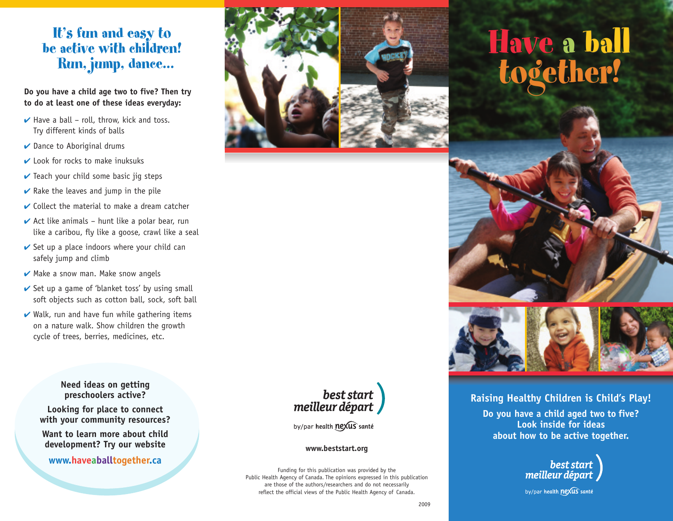## It's fun and easy to be active with children! Run, jump, dance...

**Do you have a child age two to five? Then try to do at least one of these ideas everyday:**

- **✔** Have a ball roll, throw, kick and toss. Try different kinds of balls
- **✔** Dance to Aboriginal drums
- **✔** Look for rocks to make inuksuks
- **✔** Teach your child some basic jig steps
- **✔** Rake the leaves and jump in the pile
- **✔** Collect the material to make a dream catcher
- **✔** Act like animals hunt like a polar bear, run like a caribou, fly like a goose, crawl like a seal
- **►** Set up a place indoors where your child can safely jump and climb
- **✔** Make a snow man. Make snow angels
- **✔** Set up a game of 'blanket toss' by using small soft objects such as cotton ball, sock, soft ball
- **⁄** Walk, run and have fun while gathering items on a nature walk. Show children the growth cycle of trees, berries, medicines, etc.

**Need ideas on getting preschoolers active?**

**Looking for place to connect with your community resources?**

**Want to learn more about child development? Try our website**

#### **www.haveaballtogether.ca**



# Have a ball together! Have a ball together!





#### **Raising Healthy Children is Child's Play!**

**Do you have a child aged two to five? Look inside for ideas about how to be active together.**



by/par health nexus santé



by/par health nexus santé

#### **www.beststart.org**

Funding for this publication was provided by the Public Health Agency of Canada. The opinions expressed in this publication are those of the authors/researchers and do not necessarily reflect the official views of the Public Health Agency of Canada.